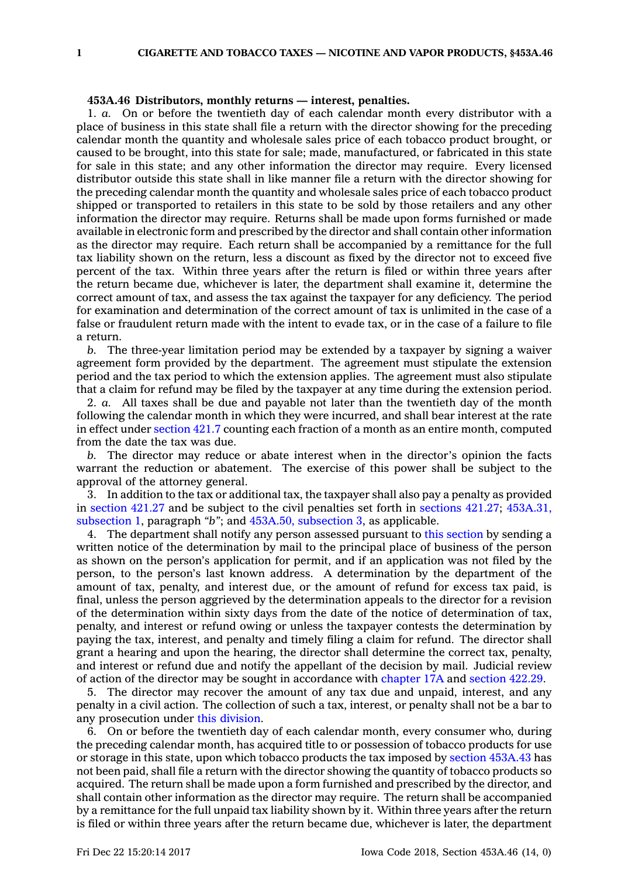## **453A.46 Distributors, monthly returns — interest, penalties.**

1. *a.* On or before the twentieth day of each calendar month every distributor with <sup>a</sup> place of business in this state shall file <sup>a</sup> return with the director showing for the preceding calendar month the quantity and wholesale sales price of each tobacco product brought, or caused to be brought, into this state for sale; made, manufactured, or fabricated in this state for sale in this state; and any other information the director may require. Every licensed distributor outside this state shall in like manner file <sup>a</sup> return with the director showing for the preceding calendar month the quantity and wholesale sales price of each tobacco product shipped or transported to retailers in this state to be sold by those retailers and any other information the director may require. Returns shall be made upon forms furnished or made available in electronic form and prescribed by the director and shall contain other information as the director may require. Each return shall be accompanied by <sup>a</sup> remittance for the full tax liability shown on the return, less <sup>a</sup> discount as fixed by the director not to exceed five percent of the tax. Within three years after the return is filed or within three years after the return became due, whichever is later, the department shall examine it, determine the correct amount of tax, and assess the tax against the taxpayer for any deficiency. The period for examination and determination of the correct amount of tax is unlimited in the case of <sup>a</sup> false or fraudulent return made with the intent to evade tax, or in the case of <sup>a</sup> failure to file a return.

*b.* The three-year limitation period may be extended by <sup>a</sup> taxpayer by signing <sup>a</sup> waiver agreement form provided by the department. The agreement must stipulate the extension period and the tax period to which the extension applies. The agreement must also stipulate that <sup>a</sup> claim for refund may be filed by the taxpayer at any time during the extension period.

2. *a.* All taxes shall be due and payable not later than the twentieth day of the month following the calendar month in which they were incurred, and shall bear interest at the rate in effect under [section](https://www.legis.iowa.gov/docs/code/421.7.pdf) 421.7 counting each fraction of <sup>a</sup> month as an entire month, computed from the date the tax was due.

*b.* The director may reduce or abate interest when in the director's opinion the facts warrant the reduction or abatement. The exercise of this power shall be subject to the approval of the attorney general.

3. In addition to the tax or additional tax, the taxpayer shall also pay <sup>a</sup> penalty as provided in [section](https://www.legis.iowa.gov/docs/code/421.27.pdf) 421.27 and be subject to the civil penalties set forth in [sections](https://www.legis.iowa.gov/docs/code/421.27.pdf) 421.27; [453A.31,](https://www.legis.iowa.gov/docs/code/453A.31.pdf) [subsection](https://www.legis.iowa.gov/docs/code/453A.31.pdf) 1, paragraph *"b"*; and 453A.50, [subsection](https://www.legis.iowa.gov/docs/code/453A.50.pdf) 3, as applicable.

4. The department shall notify any person assessed pursuant to this [section](https://www.legis.iowa.gov/docs/code/453A.46.pdf) by sending <sup>a</sup> written notice of the determination by mail to the principal place of business of the person as shown on the person's application for permit, and if an application was not filed by the person, to the person's last known address. A determination by the department of the amount of tax, penalty, and interest due, or the amount of refund for excess tax paid, is final, unless the person aggrieved by the determination appeals to the director for <sup>a</sup> revision of the determination within sixty days from the date of the notice of determination of tax, penalty, and interest or refund owing or unless the taxpayer contests the determination by paying the tax, interest, and penalty and timely filing <sup>a</sup> claim for refund. The director shall grant <sup>a</sup> hearing and upon the hearing, the director shall determine the correct tax, penalty, and interest or refund due and notify the appellant of the decision by mail. Judicial review of action of the director may be sought in accordance with [chapter](https://www.legis.iowa.gov/docs/code//17A.pdf) 17A and [section](https://www.legis.iowa.gov/docs/code/422.29.pdf) 422.29.

5. The director may recover the amount of any tax due and unpaid, interest, and any penalty in <sup>a</sup> civil action. The collection of such <sup>a</sup> tax, interest, or penalty shall not be <sup>a</sup> bar to any prosecution under this [division](https://www.legis.iowa.gov/docs/code//453A.pdf).

6. On or before the twentieth day of each calendar month, every consumer who, during the preceding calendar month, has acquired title to or possession of tobacco products for use or storage in this state, upon which tobacco products the tax imposed by section [453A.43](https://www.legis.iowa.gov/docs/code/453A.43.pdf) has not been paid, shall file <sup>a</sup> return with the director showing the quantity of tobacco products so acquired. The return shall be made upon <sup>a</sup> form furnished and prescribed by the director, and shall contain other information as the director may require. The return shall be accompanied by <sup>a</sup> remittance for the full unpaid tax liability shown by it. Within three years after the return is filed or within three years after the return became due, whichever is later, the department